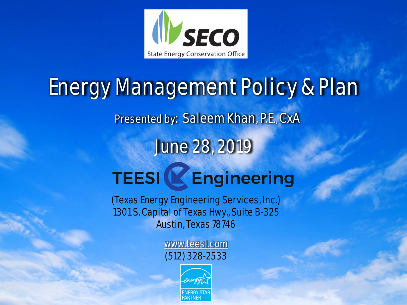

# Energy Management Policy & Plan Presented by: Saleem Khan, P.E., CxA June 28, 2019 **TEESI & Engineering**

(Texas Energy Engineering Services, Inc.) 1301 S. Capital of Texas Hwy., Suite B-325 Austin, Texas 78746

> [www.teesi.com](http://www.teesi.com/) (512) 328-2533

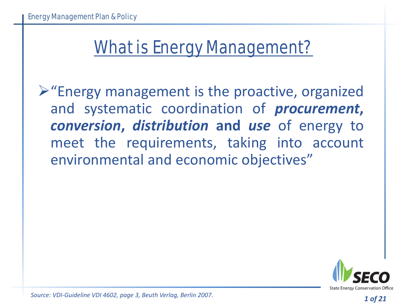#### What is Energy Management?

 $\triangleright$  "Energy management is the proactive, organized and systematic coordination of *procurement***,** *conversion***,** *distribution* **and** *use* of energy to meet the requirements, taking into account environmental and economic objectives"



*Source: VDI-Guideline VDI 4602, page 3, Beuth Verlag, Berlin 2007.*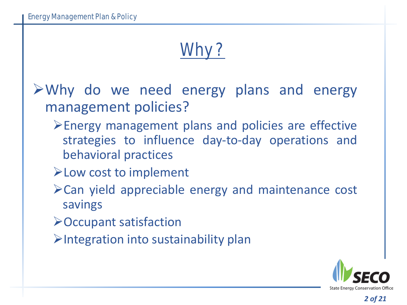## Why?

- $\triangleright$  Why do we need energy plans and energy management policies?
	- Energy management plans and policies are effective strategies to influence day-to-day operations and behavioral practices
	- Low cost to implement
	- Can yield appreciable energy and maintenance cost savings
	- Occupant satisfaction
	- $\triangleright$ Integration into sustainability plan

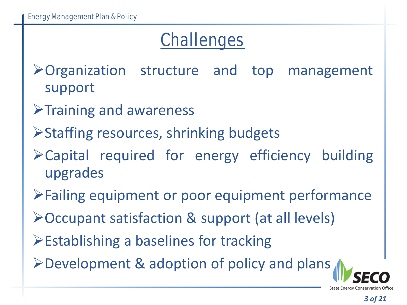#### Challenges

Organization structure and top management support

- $\triangleright$ Training and awareness
- Staffing resources, shrinking budgets
- Capital required for energy efficiency building upgrades
- Failing equipment or poor equipment performance
- Occupant satisfaction & support (at all levels)
- **Establishing a baselines for tracking**
- Development & adoption of policy and plans

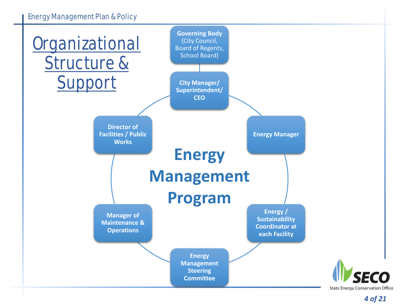#### Energy Management Plan & Policy

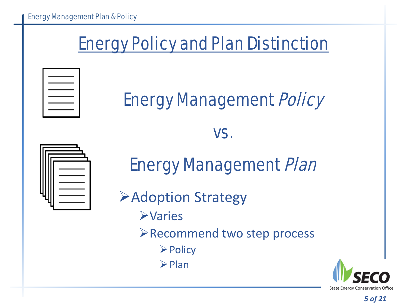#### Energy Policy and Plan Distinction



### Energy Management Policy

#### vs.



#### Energy Management Plan

**Example 2 Adoption Strategy >Varies** Recommend two step process  $\triangleright$  Policy  $\triangleright$  Plan

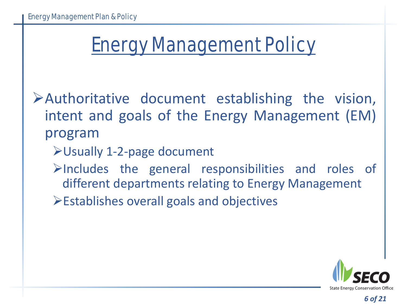## Energy Management Policy

Authoritative document establishing the vision, intent and goals of the Energy Management (EM) program

- Usually 1-2-page document
- $\triangleright$ Includes the general responsibilities and roles of different departments relating to Energy Management
- $\triangleright$  Establishes overall goals and objectives

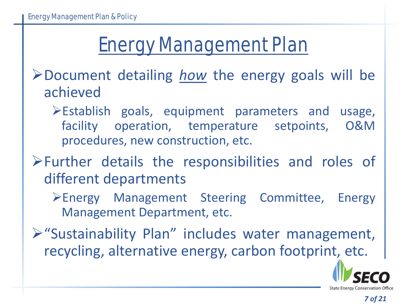## Energy Management Plan

Document detailing *how* the energy goals will be achieved

 $\triangleright$  Establish goals, equipment parameters and usage, facility operation, temperature setpoints, O&M procedures, new construction, etc.

Further details the responsibilities and roles of different departments

Energy Management Steering Committee, Energy Management Department, etc.

"Sustainability Plan" includes water management, recycling, alternative energy, carbon footprint, etc.

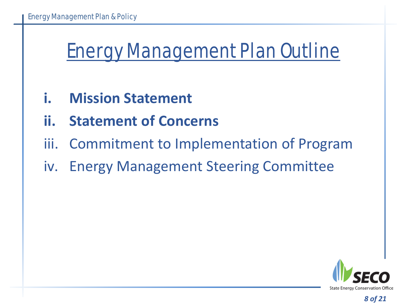## Energy Management Plan Outline

- **i. Mission Statement**
- **ii. Statement of Concerns**
- iii. Commitment to Implementation of Program
- iv. Energy Management Steering Committee

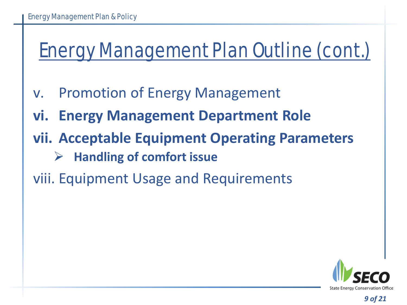## Energy Management Plan Outline (cont.)

- v. Promotion of Energy Management
- **vi. Energy Management Department Role**
- **vii. Acceptable Equipment Operating Parameters**
	- **Handling of comfort issue**
- viii. Equipment Usage and Requirements

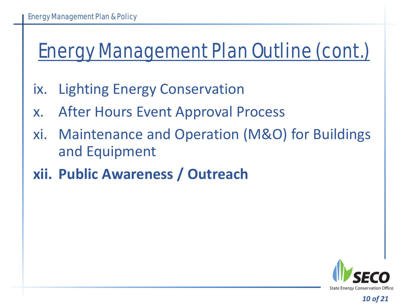## Energy Management Plan Outline (cont.)

- ix. Lighting Energy Conservation
- x. After Hours Event Approval Process
- xi. Maintenance and Operation (M&O) for Buildings and Equipment
- **xii. Public Awareness / Outreach**

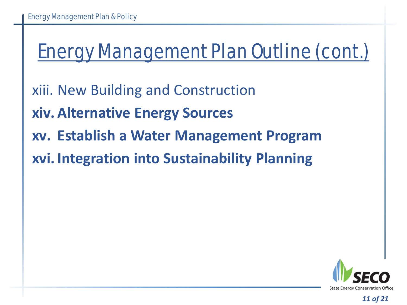## Energy Management Plan Outline (cont.)

- xiii. New Building and Construction
- **xiv. Alternative Energy Sources**
- **xv. Establish a Water Management Program**
- **xvi. Integration into Sustainability Planning**

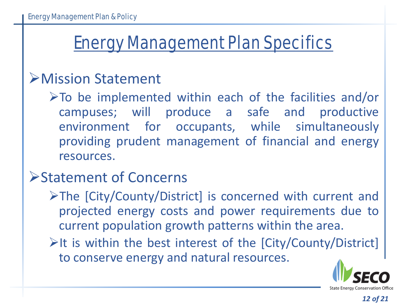#### Energy Management Plan Specifics

#### Mission Statement

 $\triangleright$  To be implemented within each of the facilities and/or campuses; will produce a safe and productive environment for occupants, while simultaneously providing prudent management of financial and energy resources.

#### Statement of Concerns

- The [City/County/District] is concerned with current and projected energy costs and power requirements due to current population growth patterns within the area.
- $\triangleright$ It is within the best interest of the  $\lceil \text{City/Country/ District} \rceil$ to conserve energy and natural resources.

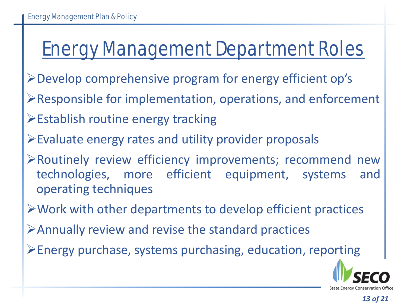## Energy Management Department Roles

- Develop comprehensive program for energy efficient op's
- Responsible for implementation, operations, and enforcement
- Establish routine energy tracking
- Evaluate energy rates and utility provider proposals
- Routinely review efficiency improvements; recommend new technologies, more efficient equipment, systems and operating techniques
- $\triangleright$  Work with other departments to develop efficient practices
- Annually review and revise the standard practices
- Energy purchase, systems purchasing, education, reporting

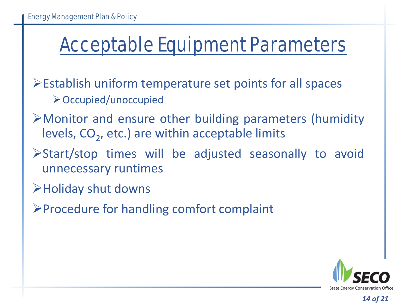## Acceptable Equipment Parameters

Establish uniform temperature set points for all spaces Occupied/unoccupied

- Monitor and ensure other building parameters (humidity levels,  $CO<sub>2</sub>$ , etc.) are within acceptable limits
- Start/stop times will be adjusted seasonally to avoid unnecessary runtimes
- Holiday shut downs
- Procedure for handling comfort complaint

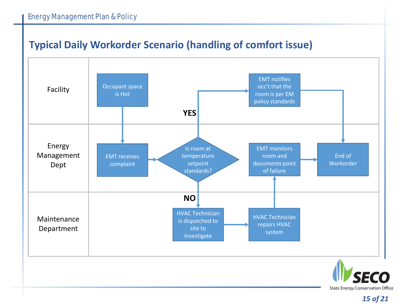#### Energy Management Plan & Policy

#### **Typical Daily Workorder Scenario (handling of comfort issue)**



**State Energy Conservation Office**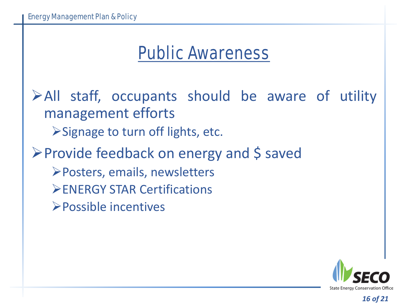#### Public Awareness

All staff, occupants should be aware of utility management efforts  $\triangleright$  Signage to turn off lights, etc. **≻Provide feedback on energy and \$ saved** Posters, emails, newsletters **ENERGY STAR Certifications** Possible incentives

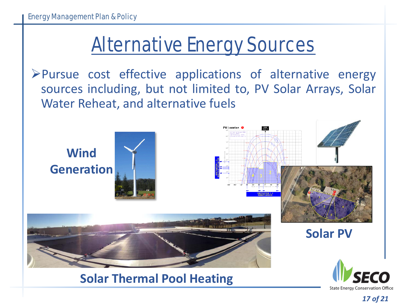## Alternative Energy Sources

Pursue cost effective applications of alternative energy sources including, but not limited to, PV Solar Arrays, Solar Water Reheat, and alternative fuels



**Solar Thermal Pool Heating**

*17 of 21*

**State Energy Conservation Office**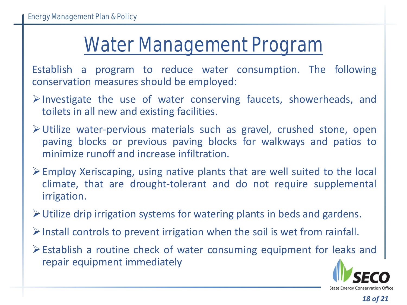### Water Management Program

Establish a program to reduce water consumption. The following conservation measures should be employed:

- $\triangleright$  Investigate the use of water conserving faucets, showerheads, and toilets in all new and existing facilities.
- Utilize water-pervious materials such as gravel, crushed stone, open paving blocks or previous paving blocks for walkways and patios to minimize runoff and increase infiltration.
- $\triangleright$  Employ Xeriscaping, using native plants that are well suited to the local climate, that are drought-tolerant and do not require supplemental irrigation.
- Utilize drip irrigation systems for watering plants in beds and gardens.
- $\triangleright$  Install controls to prevent irrigation when the soil is wet from rainfall.
- Establish a routine check of water consuming equipment for leaks and repair equipment immediately

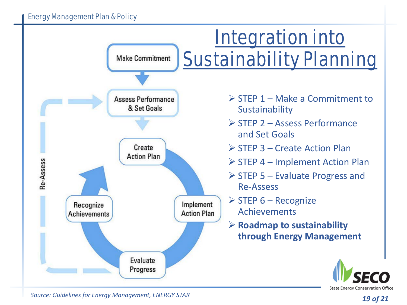

*Source: Guidelines for Energy Management, ENERGY STAR* 

**State Energy Conservation Office**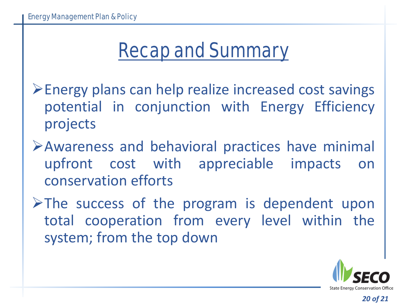## Recap and Summary

Energy plans can help realize increased cost savings potential in conjunction with Energy Efficiency projects

Awareness and behavioral practices have minimal upfront cost with appreciable impacts on conservation efforts

 $\triangleright$ The success of the program is dependent upon total cooperation from every level within the system; from the top down